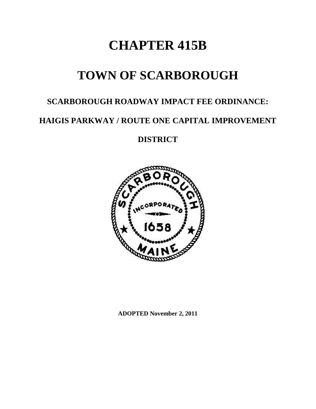# **CHAPTER 415B**

## **TOWN OF SCARBOROUGH**

## **SCARBOROUGH ROADWAY IMPACT FEE ORDINANCE:**

### **HAIGIS PARKWAY / ROUTE ONE CAPITAL IMPROVEMENT**

**DISTRICT**



**ADOPTED November 2, 2011**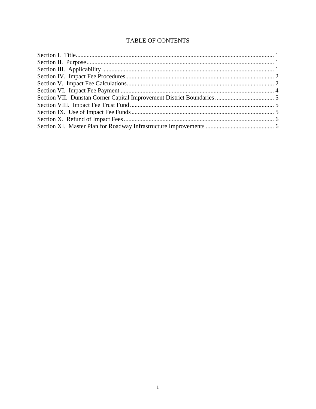### **TABLE OF CONTENTS**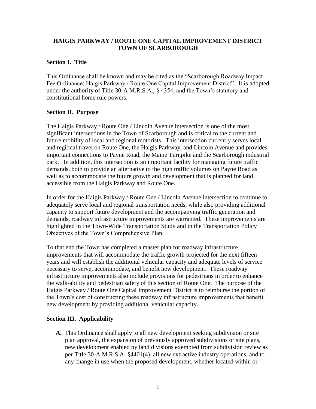#### **HAIGIS PARKWAY / ROUTE ONE CAPITAL IMPROVEMENT DISTRICT TOWN OF SCARBOROUGH**

#### **Section I. Title**

This Ordinance shall be known and may be cited as the "Scarborough Roadway Impact Fee Ordinance: Haigis Parkway / Route One Capital Improvement District". It is adopted under the authority of Title 30-A M.R.S.A., § 4354, and the Town's statutory and constitutional home rule powers.

#### **Section II. Purpose**

The Haigis Parkway / Route One / Lincoln Avenue intersection is one of the most significant intersections in the Town of Scarborough and is critical to the current and future mobility of local and regional motorists. This intersection currently serves local and regional travel on Route One, the Haigis Parkway, and Lincoln Avenue and provides important connections to Payne Road, the Maine Turnpike and the Scarborough industrial park. In addition, this intersection is an important facility for managing future traffic demands, both to provide an alternative to the high traffic volumes on Payne Road as well as to accommodate the future growth and development that is planned for land accessible from the Haigis Parkway and Route One.

In order for the Haigis Parkway / Route One / Lincoln Avenue intersection to continue to adequately serve local and regional transportation needs, while also providing additional capacity to support future development and the accompanying traffic generation and demands, roadway infrastructure improvements are warranted. These improvements are highlighted in the Town-Wide Transportation Study and in the Transportation Policy Objectives of the Town's Comprehensive Plan.

To that end the Town has completed a master plan for roadway infrastructure improvements that will accommodate the traffic growth projected for the next fifteen years and will establish the additional vehicular capacity and adequate levels of service necessary to serve, accommodate, and benefit new development. These roadway infrastructure improvements also include provisions for pedestrians in order to enhance the walk-ability and pedestrian safety of this section of Route One. The purpose of the Haigis Parkway / Route One Capital Improvement District is to reimburse the portion of the Town's cost of constructing these roadway infrastructure improvements that benefit new development by providing additional vehicular capacity.

#### **Section III. Applicability**

**A.** This Ordinance shall apply to all new development seeking subdivision or site plan approval, the expansion of previously approved subdivisions or site plans, new development enabled by land divisions exempted from subdivision review as per Title 30-A M.R.S.A. §4401(4), all new extractive industry operations, and to any change in use when the proposed development, whether located within or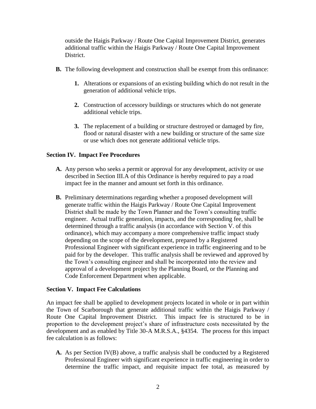outside the Haigis Parkway / Route One Capital Improvement District, generates additional traffic within the Haigis Parkway / Route One Capital Improvement District.

- **B.** The following development and construction shall be exempt from this ordinance:
	- **1.** Alterations or expansions of an existing building which do not result in the generation of additional vehicle trips.
	- **2.** Construction of accessory buildings or structures which do not generate additional vehicle trips.
	- **3.** The replacement of a building or structure destroyed or damaged by fire, flood or natural disaster with a new building or structure of the same size or use which does not generate additional vehicle trips.

#### **Section IV. Impact Fee Procedures**

- **A.** Any person who seeks a permit or approval for any development, activity or use described in Section III.A of this Ordinance is hereby required to pay a road impact fee in the manner and amount set forth in this ordinance.
- **B.** Preliminary determinations regarding whether a proposed development will generate traffic within the Haigis Parkway / Route One Capital Improvement District shall be made by the Town Planner and the Town's consulting traffic engineer. Actual traffic generation, impacts, and the corresponding fee, shall be determined through a traffic analysis (in accordance with Section V. of this ordinance), which may accompany a more comprehensive traffic impact study depending on the scope of the development, prepared by a Registered Professional Engineer with significant experience in traffic engineering and to be paid for by the developer. This traffic analysis shall be reviewed and approved by the Town's consulting engineer and shall be incorporated into the review and approval of a development project by the Planning Board, or the Planning and Code Enforcement Department when applicable.

#### <span id="page-3-0"></span>**Section V. Impact Fee Calculations**

An impact fee shall be applied to development projects located in whole or in part within the Town of Scarborough that generate additional traffic within the Haigis Parkway / Route One Capital Improvement District. This impact fee is structured to be in proportion to the development project's share of infrastructure costs necessitated by the development and as enabled by Title 30-A M.R.S.A., §4354. The process for this impact fee calculation is as follows:

**A.** As per Section IV(B) above, a traffic analysis shall be conducted by a Registered Professional Engineer with significant experience in traffic engineering in order to determine the traffic impact, and requisite impact fee total, as measured by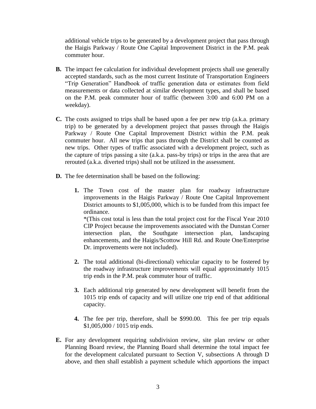additional vehicle trips to be generated by a development project that pass through the Haigis Parkway / Route One Capital Improvement District in the P.M. peak commuter hour.

- **B.** The impact fee calculation for individual development projects shall use generally accepted standards, such as the most current Institute of Transportation Engineers "Trip Generation" Handbook of traffic generation data or estimates from field measurements or data collected at similar development types, and shall be based on the P.M. peak commuter hour of traffic (between 3:00 and 6:00 PM on a weekday).
- **C.** The costs assigned to trips shall be based upon a fee per new trip (a.k.a. primary trip) to be generated by a development project that passes through the Haigis Parkway / Route One Capital Improvement District within the P.M. peak commuter hour. All new trips that pass through the District shall be counted as new trips. Other types of traffic associated with a development project, such as the capture of trips passing a site (a.k.a. pass-by trips) or trips in the area that are rerouted (a.k.a. diverted trips) shall not be utilized in the assessment.
- **D.** The fee determination shall be based on the following:
	- **1.** The Town cost of the master plan for roadway infrastructure improvements in the Haigis Parkway / Route One Capital Improvement District amounts to \$1,005,000, which is to be funded from this impact fee ordinance.

\*(This cost total is less than the total project cost for the Fiscal Year 2010 CIP Project because the improvements associated with the Dunstan Corner intersection plan, the Southgate intersection plan, landscaping enhancements, and the Haigis/Scottow Hill Rd. and Route One/Enterprise Dr. improvements were not included).

- **2.** The total additional (bi-directional) vehicular capacity to be fostered by the roadway infrastructure improvements will equal approximately 1015 trip ends in the P.M. peak commuter hour of traffic.
- **3.** Each additional trip generated by new development will benefit from the 1015 trip ends of capacity and will utilize one trip end of that additional capacity.
- **4.** The fee per trip, therefore, shall be \$990.00. This fee per trip equals \$1,005,000 / 1015 trip ends.
- **E.** For any development requiring subdivision review, site plan review or other Planning Board review, the Planning Board shall determine the total impact fee for the development calculated pursuant to Section V, subsections A through D above, and then shall establish a payment schedule which apportions the impact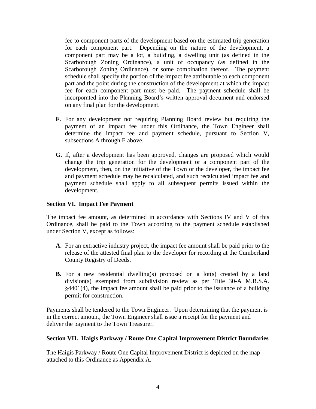fee to component parts of the development based on the estimated trip generation for each component part. Depending on the nature of the development, a component part may be a lot, a building, a dwelling unit (as defined in the Scarborough Zoning Ordinance), a unit of occupancy (as defined in the Scarborough Zoning Ordinance), or some combination thereof. The payment schedule shall specify the portion of the impact fee attributable to each component part and the point during the construction of the development at which the impact fee for each component part must be paid. The payment schedule shall be incorporated into the Planning Board's written approval document and endorsed on any final plan for the development.

- **F.** For any development not requiring Planning Board review but requiring the payment of an impact fee under this Ordinance, the Town Engineer shall determine the impact fee and payment schedule, pursuant to Section V, subsections A through E above.
- **G.** If, after a development has been approved, changes are proposed which would change the trip generation for the development or a component part of the development, then, on the initiative of the Town or the developer, the impact fee and payment schedule may be recalculated, and such recalculated impact fee and payment schedule shall apply to all subsequent permits issued within the development.

#### <span id="page-5-0"></span>**Section VI. Impact Fee Payment**

The impact fee amount, as determined in accordance with Sections IV and V of this Ordinance, shall be paid to the Town according to the payment schedule established under Section V, except as follows:

- **A.** For an extractive industry project, the impact fee amount shall be paid prior to the release of the attested final plan to the developer for recording at the Cumberland County Registry of Deeds.
- **B.** For a new residential dwelling(s) proposed on a lot(s) created by a land division(s) exempted from subdivision review as per Title 30-A M.R.S.A. §4401(4), the impact fee amount shall be paid prior to the issuance of a building permit for construction.

Payments shall be tendered to the Town Engineer. Upon determining that the payment is in the correct amount, the Town Engineer shall issue a receipt for the payment and deliver the payment to the Town Treasurer.

#### **Section VII. Haigis Parkway / Route One Capital Improvement District Boundaries**

The Haigis Parkway / Route One Capital Improvement District is depicted on the map attached to this Ordinance as Appendix A.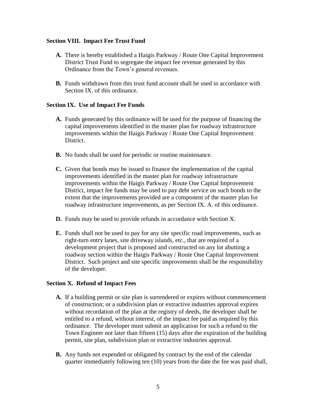#### **Section VIII. Impact Fee Trust Fund**

- **A.** There is hereby established a Haigis Parkway / Route One Capital Improvement District Trust Fund to segregate the impact fee revenue generated by this Ordinance from the Town's general revenues.
- **B.** Funds withdrawn from this trust fund account shall be used in accordance with Section IX. of this ordinance.

#### **Section IX. Use of Impact Fee Funds**

- **A.** Funds generated by this ordinance will be used for the purpose of financing the capital improvements identified in the master plan for roadway infrastructure improvements within the Haigis Parkway / Route One Capital Improvement District.
- **B.** No funds shall be used for periodic or routine maintenance.
- **C.** Given that bonds may be issued to finance the implementation of the capital improvements identified in the master plan for roadway infrastructure improvements within the Haigis Parkway / Route One Capital Improvement District, impact fee funds may be used to pay debt service on such bonds to the extent that the improvements provided are a component of the master plan for roadway infrastructure improvements, as per Section IX. A. of this ordinance.
- **D.** Funds may be used to provide refunds in accordance with Section X.
- **E.** Funds shall not be used to pay for any site specific road improvements, such as right-turn entry lanes, site driveway islands, etc., that are required of a development project that is proposed and constructed on any lot abutting a roadway section within the Haigis Parkway / Route One Capital Improvement District. Such project and site specific improvements shall be the responsibility of the developer.

#### **Section X. Refund of Impact Fees**

- **A.** If a building permit or site plan is surrendered or expires without commencement of construction; or a subdivision plan or extractive industries approval expires without recordation of the plan at the registry of deeds, the developer shall be entitled to a refund, without interest, of the impact fee paid as required by this ordinance. The developer must submit an application for such a refund to the Town Engineer not later than fifteen (15) days after the expiration of the building permit, site plan, subdivision plan or extractive industries approval.
- **B.** Any funds not expended or obligated by contract by the end of the calendar quarter immediately following ten (10) years from the date the fee was paid shall,